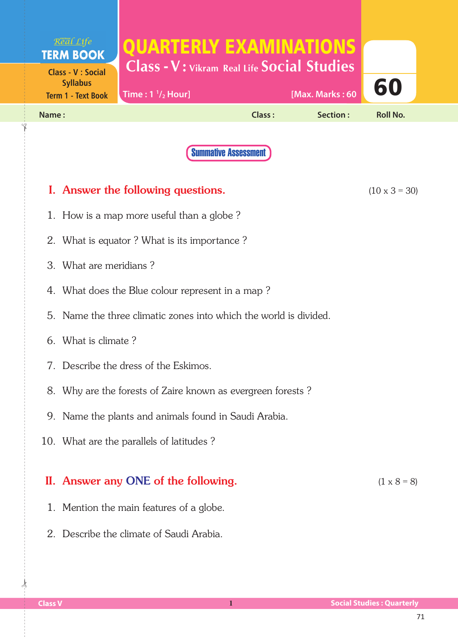|       | Real Life<br><b>TERM BOOK</b><br><b>Class - V : Social</b><br><b>Syllabus</b> | QUARTERLY EXAMINATIONS<br><b>Class - V: Vikram Real Life Social Studies</b> |                             |                 |                      |  |
|-------|-------------------------------------------------------------------------------|-----------------------------------------------------------------------------|-----------------------------|-----------------|----------------------|--|
|       | <b>Term 1 - Text Book</b>                                                     | Time: $1 \frac{1}{2}$ Hour]                                                 |                             | [Max. Marks: 60 | 60                   |  |
| Name: |                                                                               |                                                                             | Class:                      | Section:        | <b>Roll No.</b>      |  |
|       |                                                                               |                                                                             | <b>Summative Assessment</b> |                 |                      |  |
|       |                                                                               | I. Answer the following questions.                                          |                             |                 | $(10 \times 3 = 30)$ |  |
|       |                                                                               | 1. How is a map more useful than a globe?                                   |                             |                 |                      |  |
|       |                                                                               | 2. What is equator? What is its importance?                                 |                             |                 |                      |  |
|       | 3. What are meridians?                                                        |                                                                             |                             |                 |                      |  |
|       |                                                                               | 4. What does the Blue colour represent in a map?                            |                             |                 |                      |  |
|       |                                                                               | 5. Name the three climatic zones into which the world is divided.           |                             |                 |                      |  |
|       | 6. What is climate?                                                           |                                                                             |                             |                 |                      |  |
|       |                                                                               | 7. Describe the dress of the Eskimos.                                       |                             |                 |                      |  |
|       |                                                                               | 8. Why are the forests of Zaire known as evergreen forests?                 |                             |                 |                      |  |
|       |                                                                               | 9. Name the plants and animals found in Saudi Arabia.                       |                             |                 |                      |  |
|       |                                                                               | 10. What are the parallels of latitudes?                                    |                             |                 |                      |  |
|       |                                                                               | II. Answer any ONE of the following.                                        |                             |                 | $(1 \times 8 = 8)$   |  |
|       |                                                                               | 1. Mention the main features of a globe.                                    |                             |                 |                      |  |
|       |                                                                               | 2. Describe the climate of Saudi Arabia.                                    |                             |                 |                      |  |

 $\frac{1}{2}$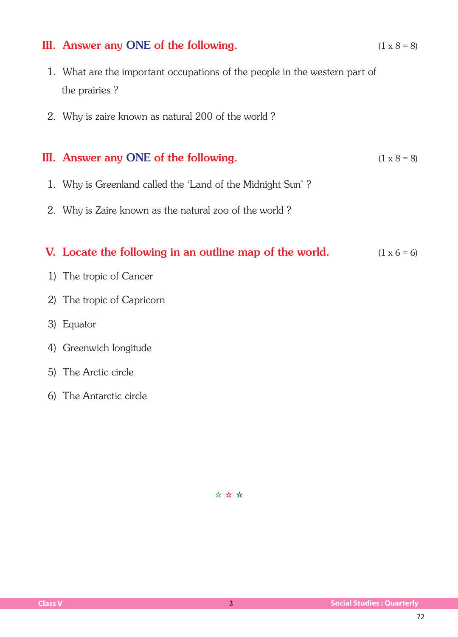## III. Answer any ONE of the following.  $(1 \times 8 = 8)$

- 1. What are the important occupations of the people in the western part of the prairies ?
- 2. Why is zaire known as natural 200 of the world ?

## III. Answer any ONE of the following.  $(1 \times 8 = 8)$

- 1. Why is Greenland called the 'Land of the Midnight Sun'?
- 2. Why is Zaire known as the natural zoo of the world ?

## V. Locate the following in an outline map of the world.  $(1 \times 6 = 6)$

- 1) The tropic of Cancer
- 2) The tropic of Capricorn
- 3) Equator
- 4) Greenwich longitude
- 5) The Arctic circle
- 6) The Antarctic circle

✫ ✫ ✫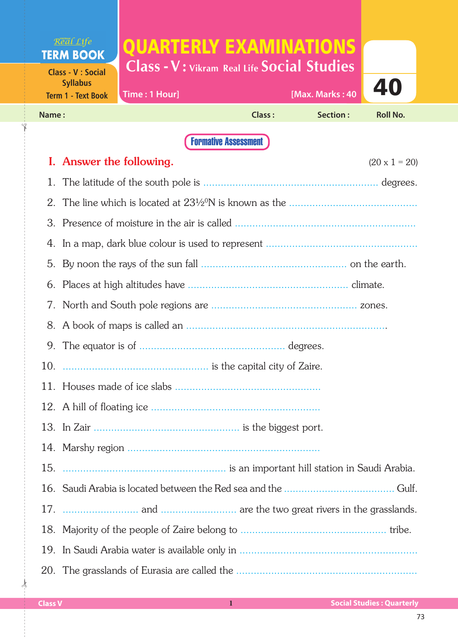## Real Life QUARTERLY EXAMINATIONS **TERM BOOK Class - V : Vikram Real Life Social Studies Class - V : Social** 40 **Syllabus**

| Term 1 - Text Book Time : 1 Hour] |        |           | [Max. Marks : 40 $\begin{array}{ c c c }\n\hline\n\text{--} & \text{--} & \text{--} \\ \hline\n\end{array}$ |  |  |
|-----------------------------------|--------|-----------|-------------------------------------------------------------------------------------------------------------|--|--|
| Name:                             | Class: | Section : | Roll No.                                                                                                    |  |  |
|                                   |        |           |                                                                                                             |  |  |

Formative Assessment

|     | I. Answer the following.<br>$(20 \times 1 = 20)$ |
|-----|--------------------------------------------------|
| 1.  |                                                  |
|     |                                                  |
|     |                                                  |
|     |                                                  |
|     |                                                  |
|     |                                                  |
|     |                                                  |
|     |                                                  |
|     |                                                  |
|     |                                                  |
|     |                                                  |
|     |                                                  |
|     |                                                  |
|     |                                                  |
| 15. |                                                  |
|     |                                                  |
|     |                                                  |
|     |                                                  |
|     |                                                  |
|     |                                                  |

 $\frac{1}{2}$ 

✁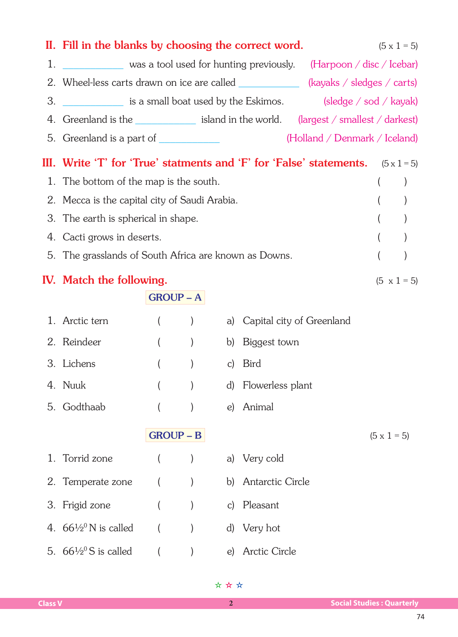|    | II. Fill in the blanks by choosing the correct word.                                                                  |                  |                  |              |                           |                               |                    | $(5 \times 1 = 5)$ |
|----|-----------------------------------------------------------------------------------------------------------------------|------------------|------------------|--------------|---------------------------|-------------------------------|--------------------|--------------------|
| 1. | was a tool used for hunting previously. (Harpoon / disc / Icebar)                                                     |                  |                  |              |                           |                               |                    |                    |
|    | 2. Wheel-less carts drawn on ice are called _______________ (kayaks / sledges / carts)                                |                  |                  |              |                           |                               |                    |                    |
| 3. | ________________ is a small boat used by the Eskimos. __________________________ is a small boat used by the Eskimos. |                  |                  |              |                           |                               |                    |                    |
|    | 4. Greenland is the <u>section of its island in the world.</u> (largest / smallest / darkest)                         |                  |                  |              |                           |                               |                    |                    |
|    | 5. Greenland is a part of ____________                                                                                |                  |                  |              |                           | (Holland / Denmark / Iceland) |                    |                    |
|    | III. Write 'T' for 'True' statments and 'F' for 'False' statements. $(5 \times 1 = 5)$                                |                  |                  |              |                           |                               |                    |                    |
|    | 1. The bottom of the map is the south.                                                                                |                  |                  |              |                           |                               |                    |                    |
|    | 2. Mecca is the capital city of Saudi Arabia.                                                                         |                  |                  |              |                           |                               |                    |                    |
|    | 3. The earth is spherical in shape.                                                                                   |                  |                  |              |                           |                               |                    |                    |
|    | 4. Cacti grows in deserts.                                                                                            |                  |                  |              |                           |                               |                    |                    |
|    | 5. The grasslands of South Africa are known as Downs.                                                                 |                  |                  |              |                           |                               |                    |                    |
|    | <b>IV.</b> Match the following.                                                                                       |                  |                  |              |                           | $(5 \times 1 = 5)$            |                    |                    |
|    |                                                                                                                       |                  | $GROUP - A$      |              |                           |                               |                    |                    |
|    | 1. Arctic tern                                                                                                        | $\left($         | $\left( \right)$ | a)           | Capital city of Greenland |                               |                    |                    |
|    | 2. Reindeer                                                                                                           | $\overline{(\ }$ | $\left( \right)$ | b)           | Biggest town              |                               |                    |                    |
|    | 3. Lichens                                                                                                            |                  |                  |              | c) Bird                   |                               |                    |                    |
|    | 4. Nuuk                                                                                                               |                  |                  |              | d) Flowerless plant       |                               |                    |                    |
|    | 5. Godthaab                                                                                                           |                  |                  |              | e) Animal                 |                               |                    |                    |
|    |                                                                                                                       |                  | $GROUP - B$      |              |                           |                               | $(5 \times 1 = 5)$ |                    |
| 1. | Torrid zone                                                                                                           | $\overline{(}$   |                  |              | a) Very cold              |                               |                    |                    |
|    | 2. Temperate zone                                                                                                     |                  | $\mathcal{E}$    |              | b) Antarctic Circle       |                               |                    |                    |
|    | 3. Frigid zone                                                                                                        |                  |                  | $\mathsf{C}$ | Pleasant                  |                               |                    |                    |
|    | 4. $66\frac{1}{2}$ °N is called                                                                                       |                  |                  | d)           | Very hot                  |                               |                    |                    |

5.  $66\frac{1}{2}$ °S is called ( ) e) Arctic Circle

✫ ✫ ✫